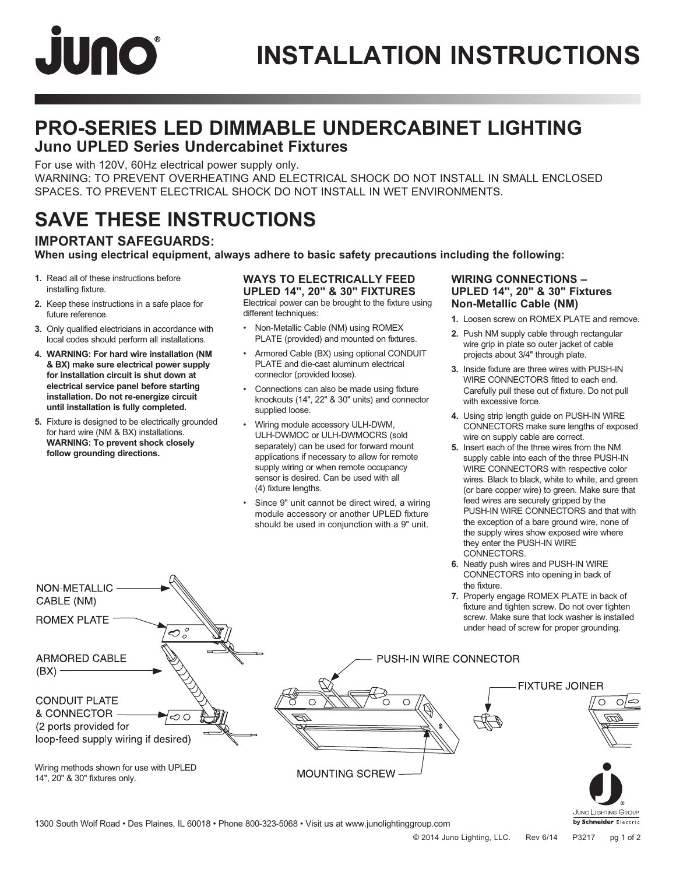# **JUNO**

### **PRO-SERIES LED DIMMABLE UNDERCABINET LIGHTING Juno UPLED Series Undercabinet Fixtures**

For use with 120V, 60Hz electrical power supply only.

WARNING: TO PREVENT OVERHEATING AND ELECTRICAL SHOCK DO NOT INSTALL IN SMALL ENCLOSED SPACES. TO PREVENT ELECTRICAL SHOCK DO NOT INSTALL IN WET ENVIRONMENTS.

### **SAVE THESE INSTRUCTIONS**

### **IMPORTANT SAFEGUARDS:**

**When using electrical equipment, always adhere to basic safety precautions including the following:**

- **1.** Read all of these instructions before installing fixture.
- **2.** Keep these instructions in a safe place for future reference.
- **3.** Only qualified electricians in accordance with local codes should perform all installations.
- **4. WARNING: For hard wire installation (NM & BX) make sure electrical power supply for installation circuit is shut down at electrical service panel before starting installation. Do not re-energize circuit until installation is fully completed.**
- **5.** Fixture is designed to be electrically grounded for hard wire (NM & BX) installations. **WARNING: To prevent shock closely follow grounding directions.**

NON-METALLIC -CABLE (NM)

### **WAYS TO ELECTRICALLY FEED UPLED 14", 20" & 30" FIXTURES**

Electrical power can be brought to the fixture using different techniques:

- Non-Metallic Cable (NM) using ROMEX PLATE (provided) and mounted on fixtures.
- Armored Cable (BX) using optional CONDUIT PLATE and die-cast aluminum electrical connector (provided loose).
- Connections can also be made using fixture knockouts (14", 22" & 30" units) and connector supplied loose.
- Wiring module accessory ULH-DWM, ULH-DWMOC or ULH-DWMOCRS (sold separately) can be used for forward mount applications if necessary to allow for remote supply wiring or when remote occupancy sensor is desired. Can be used with all (4) fixture lengths.
- Since 9" unit cannot be direct wired, a wiring module accessory or another UPLED fixture should be used in conjunction with a 9" unit.

### **WIRING CONNECTIONS – UPLED 14", 20" & 30" Fixtures Non-Metallic Cable (NM)**

- **1.** Loosen screw on ROMEX PLATE and remove.
- **2.** Push NM supply cable through rectangular wire grip in plate so outer jacket of cable projects about 3/4" through plate.
- **3.** Inside fixture are three wires with PUSH-IN WIRE CONNECTORS fitted to each end. Carefully pull these out of fixture. Do not pull with excessive force.
- **4.** Using strip length guide on PUSH-IN WIRE CONNECTORS make sure lengths of exposed wire on supply cable are correct.
- **5.** Insert each of the three wires from the NM supply cable into each of the three PUSH-IN WIRE CONNECTORS with respective color wires. Black to black, white to white, and green (or bare copper wire) to green. Make sure that feed wires are securely gripped by the PUSH-IN WIRE CONNECTORS and that with the exception of a bare ground wire, none of the supply wires show exposed wire where they enter the PUSH-IN WIRE CONNECTORS.
- **6.** Neatly push wires and PUSH-IN WIRE CONNECTORS into opening in back of the fixture.
- **7.** Properly engage ROMEX PLATE in back of fixture and tighten screw. Do not over tighten screw. Make sure that lock washer is installed under head of screw for proper grounding.



JUNO LIGHTING GROUP by Schneider Electric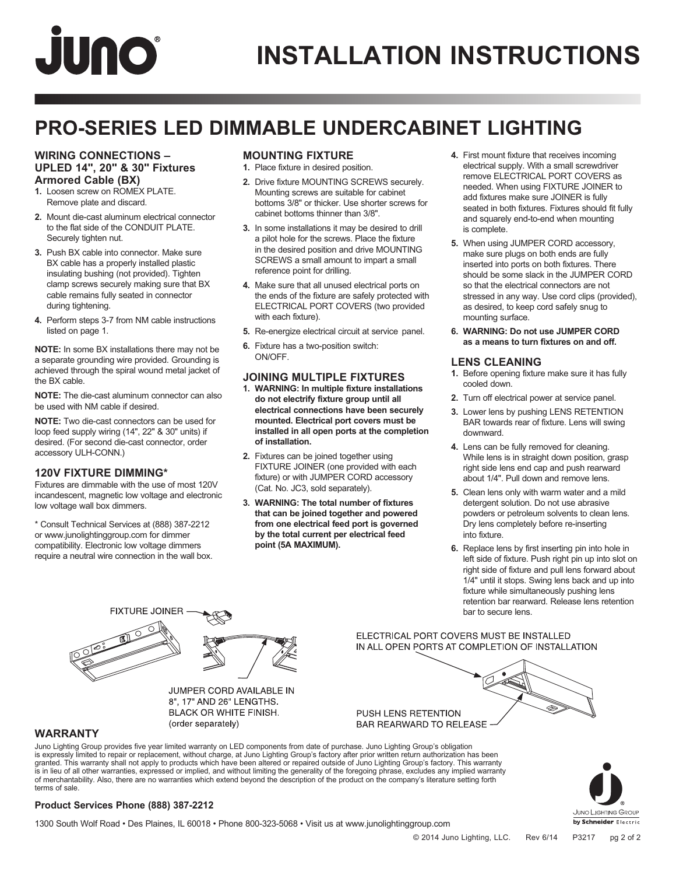# JUNO

## **INSTALLATION INSTRUCTIONS**

### **PRO-SERIES LED DIMMABLE UNDERCABINET LIGHTING**

#### **WIRING CONNECTIONS – UPLED 14", 20" & 30" Fixtures Armored Cable (BX)**

- **1.** Loosen screw on ROMEX PLATE. Remove plate and discard.
- **2.** Mount die-cast aluminum electrical connector to the flat side of the CONDUIT PLATE. Securely tighten nut.
- **3.** Push BX cable into connector. Make sure BX cable has a properly installed plastic insulating bushing (not provided). Tighten clamp screws securely making sure that BX cable remains fully seated in connector during tightening.
- **4.** Perform steps 3-7 from NM cable instructions listed on page 1.

**NOTE:** In some BX installations there may not be a separate grounding wire provided. Grounding is achieved through the spiral wound metal jacket of the BX cable.

**NOTE:** The die-cast aluminum connector can also be used with NM cable if desired.

**NOTE:** Two die-cast connectors can be used for loop feed supply wiring (14", 22" & 30" units) if desired. (For second die-cast connector, order accessory ULH-CONN.)

### **120V FIXTURE DIMMING\***

Fixtures are dimmable with the use of most 120V incandescent, magnetic low voltage and electronic low voltage wall box dimmers.

\* Consult Technical Services at (888) 387-2212 or www.junolightinggroup.com for dimmer compatibility. Electronic low voltage dimmers require a neutral wire connection in the wall box.

### **MOUNTING FIXTURE**

- **1.** Place fixture in desired position.
- **2.** Drive fixture MOUNTING SCREWS securely. Mounting screws are suitable for cabinet bottoms 3/8" or thicker. Use shorter screws for cabinet bottoms thinner than 3/8".
- **3.** In some installations it may be desired to drill a pilot hole for the screws. Place the fixture in the desired position and drive MOUNTING SCREWS a small amount to impart a small reference point for drilling.
- **4.** Make sure that all unused electrical ports on the ends of the fixture are safely protected with ELECTRICAL PORT COVERS (two provided with each fixture).
- **5.** Re-energize electrical circuit at service panel.
- **6.** Fixture has a two-position switch: ON/OFF.

### **JOINING MULTIPLE FIXTURES**

- **1. WARNING: In multiple fixture installations do not electrify fixture group until all electrical connections have been securely mounted. Electrical port covers must be installed in all open ports at the completion of installation.**
- **2.** Fixtures can be joined together using FIXTURE JOINER (one provided with each fixture) or with JUMPER CORD accessory (Cat. No. JC3, sold separately).
- **3. WARNING: The total number of fixtures that can be joined together and powered from one electrical feed port is governed by the total current per electrical feed point (5A MAXIMUM).**
- **4.** First mount fixture that receives incoming electrical supply. With a small screwdriver remove ELECTRICAL PORT COVERS as needed. When using FIXTURE JOINER to add fixtures make sure JOINER is fully seated in both fixtures. Fixtures should fit fully and squarely end-to-end when mounting is complete.
- **5.** When using JUMPER CORD accessory, make sure plugs on both ends are fully inserted into ports on both fixtures. There should be some slack in the JUMPER CORD so that the electrical connectors are not stressed in any way. Use cord clips (provided), as desired, to keep cord safely snug to mounting surface.
- **6. WARNING: Do not use JUMPER CORD as a means to turn fixtures on and off.**

### **LENS CLEANING**

- **1.** Before opening fixture make sure it has fully cooled down.
- **2.** Turn off electrical power at service panel.
- **3.** Lower lens by pushing LENS RETENTION BAR towards rear of fixture. Lens will swing downward.
- **4.** Lens can be fully removed for cleaning. While lens is in straight down position, grasp right side lens end cap and push rearward about 1/4". Pull down and remove lens.
- **5.** Clean lens only with warm water and a mild detergent solution. Do not use abrasive powders or petroleum solvents to clean lens. Dry lens completely before re-inserting into fixture.
- **6.** Replace lens by first inserting pin into hole in left side of fixture. Push right pin up into slot on right side of fixture and pull lens forward about 1/4" until it stops. Swing lens back and up into fixture while simultaneously pushing lens retention bar rearward. Release lens retention bar to secure lens.



JUMPER CORD AVAILABLE IN 8", 17" AND 26" LENGTHS. **BLACK OR WHITE FINISH.** (order separately)

#### ELECTRICAL PORT COVERS MUST BE INSTALLED IN ALL OPEN PORTS AT COMPLETION OF INSTALLATION

PUSH LENS RETENTION **BAR REARWARD TO RELEASE** 

### **WARRANTY**

Juno Lighting Group provides five year limited warranty on LED components from date of purchase. Juno Lighting Group's obligation is expressly limited to repair or replacement, without charge, at Juno Lighting Group's factory after prior written return authorization has been granted. This warranty shall not apply to products which have been altered or repaired outside of Juno Lighting Group's factory. This warranty is in lieu of all other warranties, expressed or implied, and without limiting the generality of the foregoing phrase, excludes any implied warranty<br>of merchantability. Also, there are no warranties which extend beyond the terms of sale.



### **Product Services Phone (888) 387-2212**

1300 South Wolf Road • Des Plaines, IL 60018 • Phone 800-323-5068 • Visit us at www.junolightinggroup.com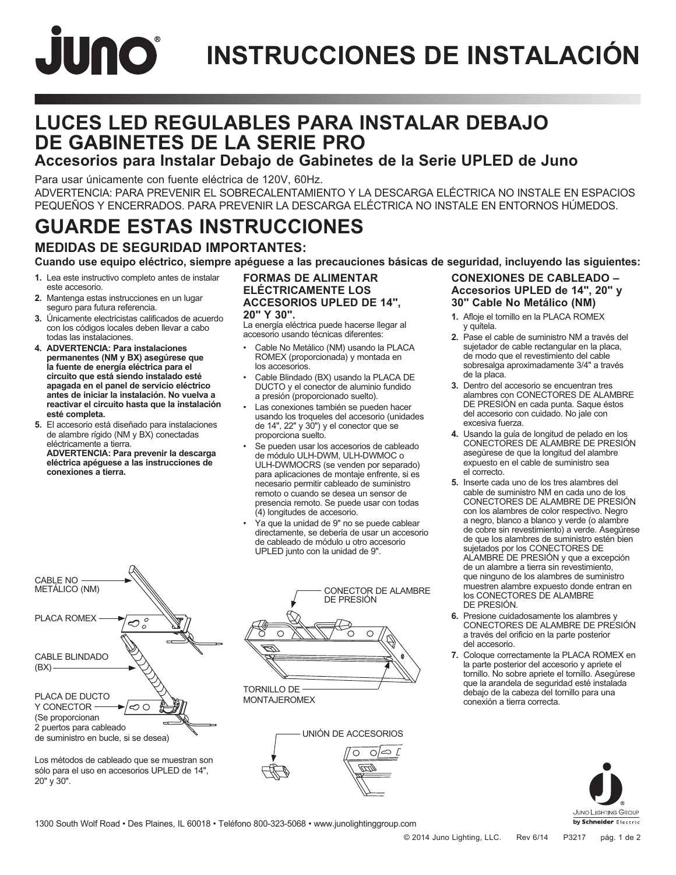# JUNO **INSTRUCCIONES DE INSTALACIÓN**

### **LUCES LED REGULABLES PARA INSTALAR DEBAJO DE GABINETES DE LA SERIE PRO**

### **Accesorios para Instalar Debajo de Gabinetes de la Serie UPLED de Juno**

Para usar únicamente con fuente eléctrica de 120V, 60Hz.

ADVERTENCIA: PARA PREVENIR EL SOBRECALENTAMIENTO Y LA DESCARGA ELÉCTRICA NO INSTALE EN ESPACIOS PEQUEÑOS Y ENCERRADOS. PARA PREVENIR LA DESCARGA ELÉCTRICA NO INSTALE EN ENTORNOS HÚMEDOS.

### **GUARDE ESTAS INSTRUCCIONES**

### **MEDIDAS DE SEGURIDAD IMPORTANTES:**

**Cuando use equipo eléctrico, siempre apéguese a las precauciones básicas de seguridad, incluyendo las siguientes:**

- **1.** Lea este instructivo completo antes de instalar este accesorio.
- **2.** Mantenga estas instrucciones en un lugar seguro para futura referencia.
- **3.** Únicamente electricistas calificados de acuerdo con los códigos locales deben llevar a cabo todas las instalaciones.
- **4. ADVERTENCIA: Para instalaciones permanentes (NM y BX) asegúrese que la fuente de energía eléctrica para el circuito que está siendo instalado esté apagada en el panel de servicio eléctrico antes de iniciar la instalación. No vuelva a reactivar el circuito hasta que la instalación esté completa.**
- **5.** El accesorio está diseñado para instalaciones de alambre rígido (NM y BX) conectadas eléctricamente a tierra.

**ADVERTENCIA: Para prevenir la descarga eléctrica apéguese a las instrucciones de conexiones a tierra.**

### **FORMAS DE ALIMENTAR ELÉCTRICAMENTE LOS ACCESORIOS UPLED DE 14",**

#### **20" Y 30".**

La energía eléctrica puede hacerse llegar al accesorio usando técnicas diferentes:

- Cable No Metálico (NM) usando la PLACA ROMEX (proporcionada) y montada en los accesorios.
- Cable Blindado (BX) usando la PLACA DE DUCTO y el conector de aluminio fundido a presión (proporcionado suelto).
- Las conexiones también se pueden hacer usando los troqueles del accesorio (unidades de 14", 22" y 30") y el conector que se proporciona suelto.
- Se pueden usar los accesorios de cableado de módulo ULH-DWM, ULH-DWMOC o ULH-DWMOCRS (se venden por separado) para aplicaciones de montaje enfrente, si es necesario permitir cableado de suministro remoto o cuando se desea un sensor de presencia remoto. Se puede usar con todas (4) longitudes de accesorio.
- Ya que la unidad de 9" no se puede cablear directamente, se debería de usar un accesorio de cableado de módulo u otro accesorio UPLED junto con la unidad de 9".



Los métodos de cableado que se muestran son sólo para el uso en accesorios UPLED de 14", 20" y 30".



MONTAJEROMEX



### **CONEXIONES DE CABLEADO – Accesorios UPLED de 14", 20" y 30" Cable No Metálico (NM)**

- **1.** Afloje el tornillo en la PLACA ROMEX y quítela.
- **2.** Pase el cable de suministro NM a través del sujetador de cable rectangular en la placa, de modo que el revestimiento del cable sobresalga aproximadamente 3/4" a través de la placa.
- **3.** Dentro del accesorio se encuentran tres alambres con CONECTORES DE ALAMBRE DE PRESIÓN en cada punta. Saque éstos del accesorio con cuidado. No jale con excesiva fuerza.
- **4.** Usando la guía de longitud de pelado en los CONECTORES DE ALAMBRE DE PRESIÓN asegúrese de que la longitud del alambre expuesto en el cable de suministro sea el correcto.
- **5.** Inserte cada uno de los tres alambres del cable de suministro NM en cada uno de los CONECTORES DE ALAMBRE DE PRESIÓN con los alambres de color respectivo. Negro a negro, blanco a blanco y verde (o alambre de cobre sin revestimiento) a verde. Asegúrese de que los alambres de suministro estén bien sujetados por los CONECTORES DE ALAMBRE DE PRESIÓN y que a excepción de un alambre a tierra sin revestimiento, que ninguno de los alambres de suministro muestren alambre expuesto donde entran en los CONECTORES DE ALAMBRE DE PRESIÓN.
- **6.** Presione cuidadosamente los alambres y CONECTORES DE ALAMBRE DE PRESIÓN a través del orificio en la parte posterior del accesorio.
- **7.** Coloque correctamente la PLACA ROMEX en la parte posterior del accesorio y apriete el tornillo. No sobre apriete el tornillo. Asegúrese que la arandela de seguridad esté instalada debajo de la cabeza del tornillo para una conexión a tierra correcta.



1300 South Wolf Road • Des Plaines, IL 60018 • Teléfono 800-323-5068 • www.junolightinggroup.com